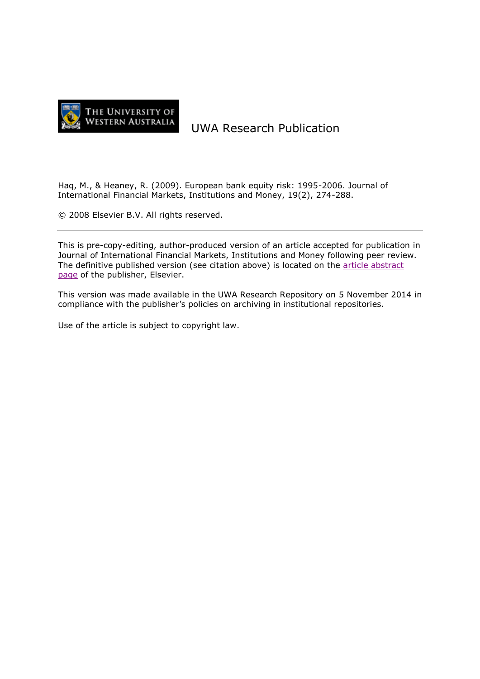

# UWA Research Publication

Haq, M., & Heaney, R. (2009). European bank equity risk: 1995-2006. Journal of International Financial Markets, Institutions and Money, 19(2), 274-288.

© 2008 Elsevier B.V. All rights reserved.

This is pre-copy-editing, author-produced version of an article accepted for publication in Journal of International Financial Markets, Institutions and Money following peer review. The definitive published version (see citation above) is located on the [article abstract](http://dx.doi.org/10.1016/j.intfin.2008.01.001)  [page](http://dx.doi.org/10.1016/j.intfin.2008.01.001) of the publisher, Elsevier.

This version was made available in the UWA Research Repository on 5 November 2014 in compliance with the publisher's policies on archiving in institutional repositories.

Use of the article is subject to copyright law.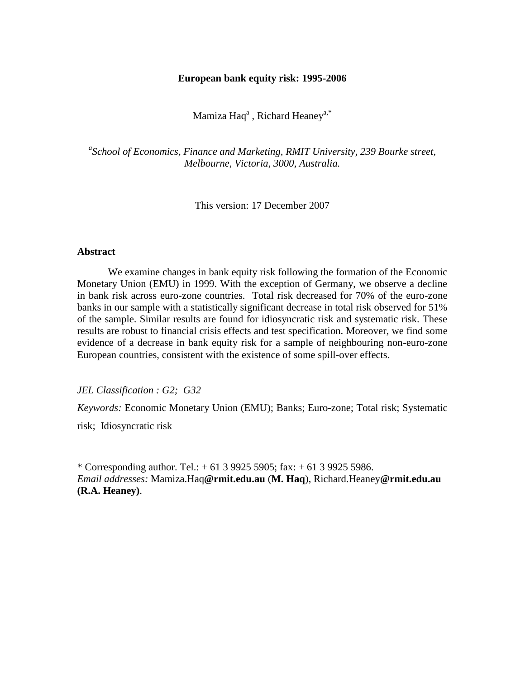## **European bank equity risk: 1995-2006**

Mamiza Haq $^{\rm a}$  , Richard Heaney $^{\rm a,*}$ 

*a School of Economics, Finance and Marketing, RMIT University, 239 Bourke street, Melbourne, Victoria, 3000, Australia.* 

This version: 17 December 2007

#### **Abstract**

We examine changes in bank equity risk following the formation of the Economic Monetary Union (EMU) in 1999. With the exception of Germany, we observe a decline in bank risk across euro-zone countries. Total risk decreased for 70% of the euro-zone banks in our sample with a statistically significant decrease in total risk observed for 51% of the sample. Similar results are found for idiosyncratic risk and systematic risk. These results are robust to financial crisis effects and test specification. Moreover, we find some evidence of a decrease in bank equity risk for a sample of neighbouring non-euro-zone European countries, consistent with the existence of some spill-over effects.

*JEL Classification : G2; G32*

*Keywords:* Economic Monetary Union (EMU); Banks; Euro-zone; Total risk; Systematic risk; Idiosyncratic risk

\* Corresponding author. Tel.:  $+ 61 3 9925 5905$ ; fax:  $+ 61 3 9925 5986$ . *Email addresses:* Mamiza.Haq**@rmit.edu.au** (**M. Haq**), Richard.Heaney**@rmit.edu.au (R.A. Heaney)**.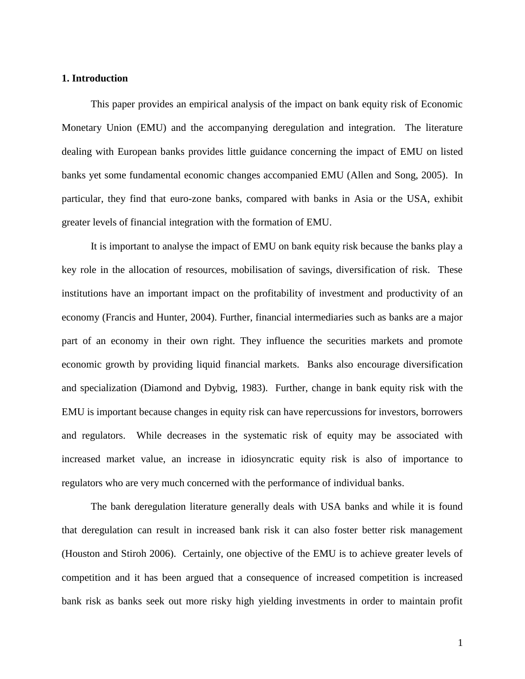## **1. Introduction**

This paper provides an empirical analysis of the impact on bank equity risk of Economic Monetary Union (EMU) and the accompanying deregulation and integration. The literature dealing with European banks provides little guidance concerning the impact of EMU on listed banks yet some fundamental economic changes accompanied EMU (Allen and Song, 2005). In particular, they find that euro-zone banks, compared with banks in Asia or the USA, exhibit greater levels of financial integration with the formation of EMU.

It is important to analyse the impact of EMU on bank equity risk because the banks play a key role in the allocation of resources, mobilisation of savings, diversification of risk. These institutions have an important impact on the profitability of investment and productivity of an economy (Francis and Hunter, 2004). Further, financial intermediaries such as banks are a major part of an economy in their own right. They influence the securities markets and promote economic growth by providing liquid financial markets. Banks also encourage diversification and specialization (Diamond and Dybvig, 1983). Further, change in bank equity risk with the EMU is important because changes in equity risk can have repercussions for investors, borrowers and regulators. While decreases in the systematic risk of equity may be associated with increased market value, an increase in idiosyncratic equity risk is also of importance to regulators who are very much concerned with the performance of individual banks.

The bank deregulation literature generally deals with USA banks and while it is found that deregulation can result in increased bank risk it can also foster better risk management (Houston and Stiroh 2006). Certainly, one objective of the EMU is to achieve greater levels of competition and it has been argued that a consequence of increased competition is increased bank risk as banks seek out more risky high yielding investments in order to maintain profit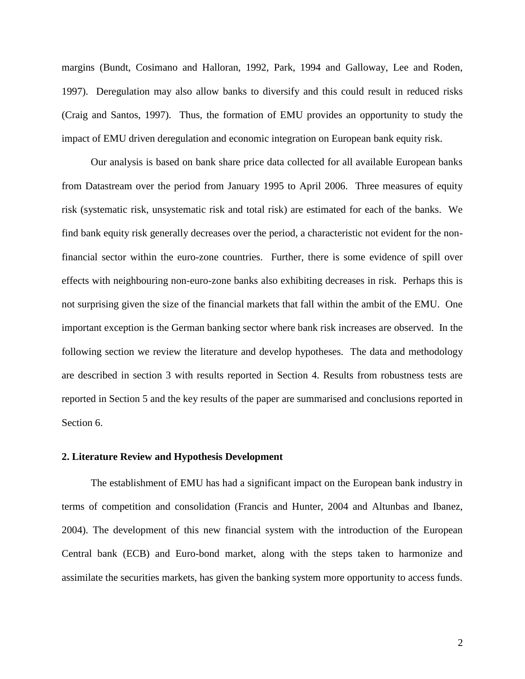margins (Bundt, Cosimano and Halloran, 1992, Park, 1994 and Galloway, Lee and Roden, 1997). Deregulation may also allow banks to diversify and this could result in reduced risks (Craig and Santos, 1997). Thus, the formation of EMU provides an opportunity to study the impact of EMU driven deregulation and economic integration on European bank equity risk.

Our analysis is based on bank share price data collected for all available European banks from Datastream over the period from January 1995 to April 2006. Three measures of equity risk (systematic risk, unsystematic risk and total risk) are estimated for each of the banks. We find bank equity risk generally decreases over the period, a characteristic not evident for the nonfinancial sector within the euro-zone countries. Further, there is some evidence of spill over effects with neighbouring non-euro-zone banks also exhibiting decreases in risk. Perhaps this is not surprising given the size of the financial markets that fall within the ambit of the EMU. One important exception is the German banking sector where bank risk increases are observed. In the following section we review the literature and develop hypotheses. The data and methodology are described in section 3 with results reported in Section 4. Results from robustness tests are reported in Section 5 and the key results of the paper are summarised and conclusions reported in Section 6.

## **2. Literature Review and Hypothesis Development**

The establishment of EMU has had a significant impact on the European bank industry in terms of competition and consolidation (Francis and Hunter, 2004 and Altunbas and Ibanez, 2004). The development of this new financial system with the introduction of the European Central bank (ECB) and Euro-bond market, along with the steps taken to harmonize and assimilate the securities markets, has given the banking system more opportunity to access funds.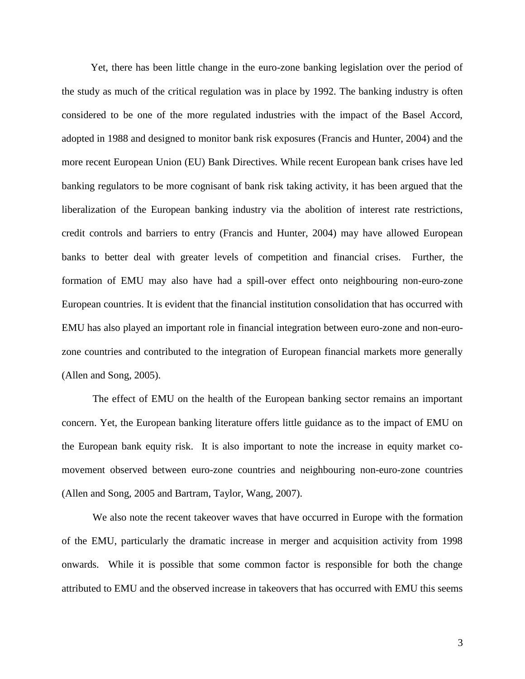Yet, there has been little change in the euro-zone banking legislation over the period of the study as much of the critical regulation was in place by 1992. The banking industry is often considered to be one of the more regulated industries with the impact of the Basel Accord, adopted in 1988 and designed to monitor bank risk exposures (Francis and Hunter, 2004) and the more recent European Union (EU) Bank Directives. While recent European bank crises have led banking regulators to be more cognisant of bank risk taking activity, it has been argued that the liberalization of the European banking industry via the abolition of interest rate restrictions, credit controls and barriers to entry (Francis and Hunter, 2004) may have allowed European banks to better deal with greater levels of competition and financial crises. Further, the formation of EMU may also have had a spill-over effect onto neighbouring non-euro-zone European countries. It is evident that the financial institution consolidation that has occurred with EMU has also played an important role in financial integration between euro-zone and non-eurozone countries and contributed to the integration of European financial markets more generally (Allen and Song, 2005).

The effect of EMU on the health of the European banking sector remains an important concern. Yet, the European banking literature offers little guidance as to the impact of EMU on the European bank equity risk. It is also important to note the increase in equity market comovement observed between euro-zone countries and neighbouring non-euro-zone countries (Allen and Song, 2005 and Bartram, Taylor, Wang, 2007).

We also note the recent takeover waves that have occurred in Europe with the formation of the EMU, particularly the dramatic increase in merger and acquisition activity from 1998 onwards. While it is possible that some common factor is responsible for both the change attributed to EMU and the observed increase in takeovers that has occurred with EMU this seems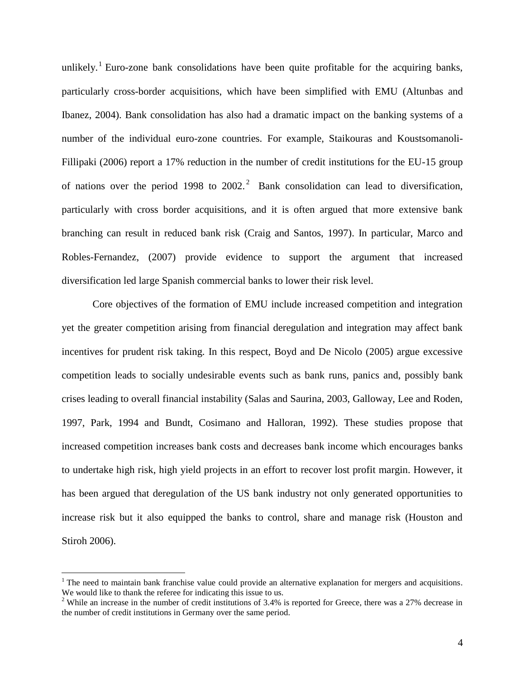unlikely.<sup>1</sup> Euro-zone bank consolidations have been quite profitable for the acquiring banks, particularly cross-border acquisitions, which have been simplified with EMU (Altunbas and Ibanez, 2004). Bank consolidation has also had a dramatic impact on the banking systems of a number of the individual euro-zone countries. For example, Staikouras and Koustsomanoli-Fillipaki (2006) report a 17% reduction in the number of credit institutions for the EU-15 group of nations over the period 1998 to  $2002$ .<sup>2</sup> Bank consolidation can lead to diversification, particularly with cross border acquisitions, and it is often argued that more extensive bank branching can result in reduced bank risk (Craig and Santos, 1997). In particular, Marco and Robles-Fernandez, (2007) provide evidence to support the argument that increased diversification led large Spanish commercial banks to lower their risk level.

Core objectives of the formation of EMU include increased competition and integration yet the greater competition arising from financial deregulation and integration may affect bank incentives for prudent risk taking. In this respect, Boyd and De Nicolo (2005) argue excessive competition leads to socially undesirable events such as bank runs, panics and, possibly bank crises leading to overall financial instability (Salas and Saurina, 2003, Galloway, Lee and Roden, 1997, Park, 1994 and Bundt, Cosimano and Halloran, 1992). These studies propose that increased competition increases bank costs and decreases bank income which encourages banks to undertake high risk, high yield projects in an effort to recover lost profit margin. However, it has been argued that deregulation of the US bank industry not only generated opportunities to increase risk but it also equipped the banks to control, share and manage risk (Houston and Stiroh 2006).

 $\overline{a}$ 

 $<sup>1</sup>$  The need to maintain bank franchise value could provide an alternative explanation for mergers and acquisitions.</sup> We would like to thank the referee for indicating this issue to us.

 $2$  While an increase in the number of credit institutions of 3.4% is reported for Greece, there was a 27% decrease in the number of credit institutions in Germany over the same period.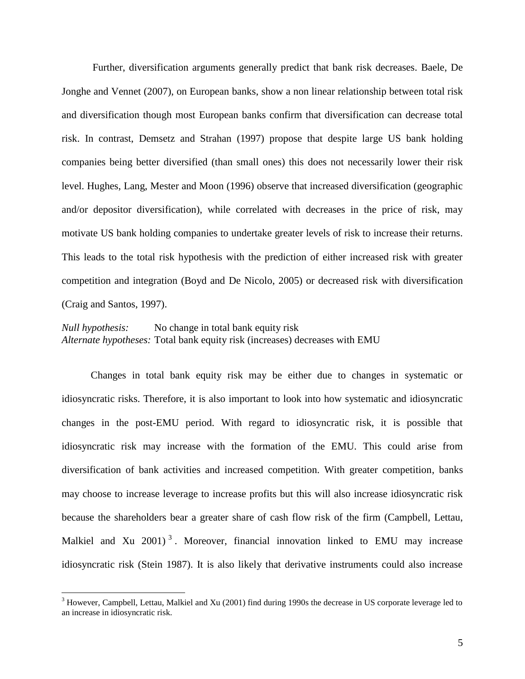Further, diversification arguments generally predict that bank risk decreases. Baele, De Jonghe and Vennet (2007), on European banks, show a non linear relationship between total risk and diversification though most European banks confirm that diversification can decrease total risk. In contrast, Demsetz and Strahan (1997) propose that despite large US bank holding companies being better diversified (than small ones) this does not necessarily lower their risk level. Hughes, Lang, Mester and Moon (1996) observe that increased diversification (geographic and/or depositor diversification), while correlated with decreases in the price of risk, may motivate US bank holding companies to undertake greater levels of risk to increase their returns. This leads to the total risk hypothesis with the prediction of either increased risk with greater competition and integration (Boyd and De Nicolo, 2005) or decreased risk with diversification (Craig and Santos, 1997).

*Null hypothesis:* No change in total bank equity risk *Alternate hypotheses:* Total bank equity risk (increases) decreases with EMU

Changes in total bank equity risk may be either due to changes in systematic or idiosyncratic risks. Therefore, it is also important to look into how systematic and idiosyncratic changes in the post-EMU period. With regard to idiosyncratic risk, it is possible that idiosyncratic risk may increase with the formation of the EMU. This could arise from diversification of bank activities and increased competition. With greater competition, banks may choose to increase leverage to increase profits but this will also increase idiosyncratic risk because the shareholders bear a greater share of cash flow risk of the firm (Campbell, Lettau, Malkiel and Xu  $2001$ <sup>3</sup>. Moreover, financial innovation linked to EMU may increase idiosyncratic risk (Stein 1987). It is also likely that derivative instruments could also increase

 $\overline{a}$ 

<sup>&</sup>lt;sup>3</sup> However, Campbell, Lettau, Malkiel and Xu (2001) find during 1990s the decrease in US corporate leverage led to an increase in idiosyncratic risk.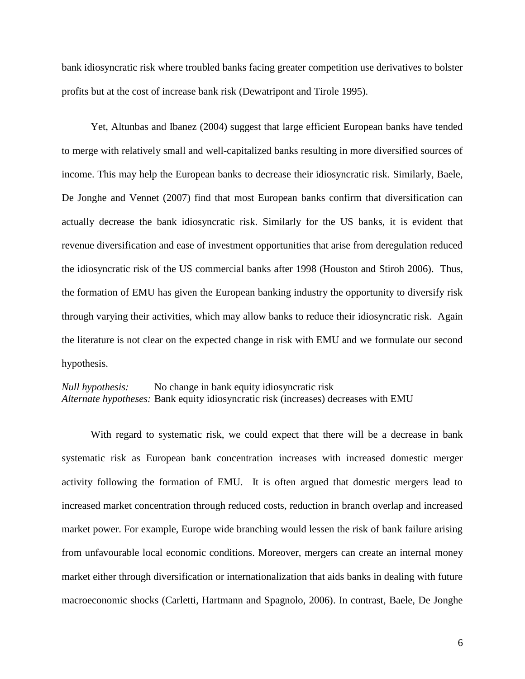bank idiosyncratic risk where troubled banks facing greater competition use derivatives to bolster profits but at the cost of increase bank risk (Dewatripont and Tirole 1995).

Yet, Altunbas and Ibanez (2004) suggest that large efficient European banks have tended to merge with relatively small and well-capitalized banks resulting in more diversified sources of income. This may help the European banks to decrease their idiosyncratic risk. Similarly, Baele, De Jonghe and Vennet (2007) find that most European banks confirm that diversification can actually decrease the bank idiosyncratic risk. Similarly for the US banks, it is evident that revenue diversification and ease of investment opportunities that arise from deregulation reduced the idiosyncratic risk of the US commercial banks after 1998 (Houston and Stiroh 2006). Thus, the formation of EMU has given the European banking industry the opportunity to diversify risk through varying their activities, which may allow banks to reduce their idiosyncratic risk. Again the literature is not clear on the expected change in risk with EMU and we formulate our second hypothesis.

*Null hypothesis:* No change in bank equity idiosyncratic risk *Alternate hypotheses:* Bank equity idiosyncratic risk (increases) decreases with EMU

With regard to systematic risk, we could expect that there will be a decrease in bank systematic risk as European bank concentration increases with increased domestic merger activity following the formation of EMU. It is often argued that domestic mergers lead to increased market concentration through reduced costs, reduction in branch overlap and increased market power. For example, Europe wide branching would lessen the risk of bank failure arising from unfavourable local economic conditions. Moreover, mergers can create an internal money market either through diversification or internationalization that aids banks in dealing with future macroeconomic shocks (Carletti, Hartmann and Spagnolo, 2006). In contrast, Baele, De Jonghe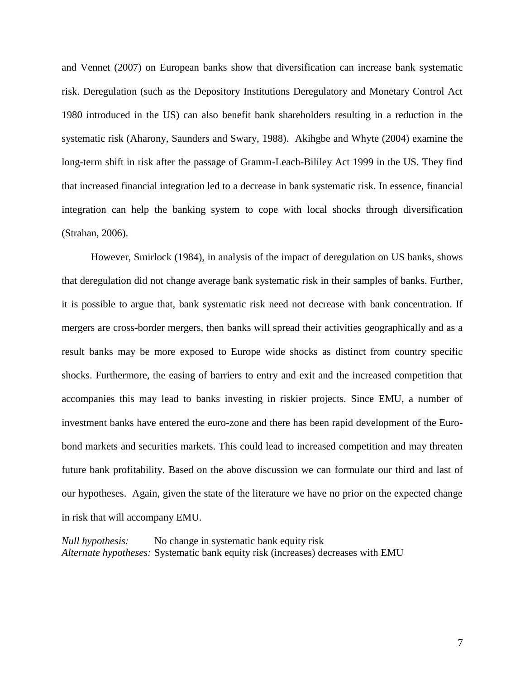and Vennet (2007) on European banks show that diversification can increase bank systematic risk. Deregulation (such as the Depository Institutions Deregulatory and Monetary Control Act 1980 introduced in the US) can also benefit bank shareholders resulting in a reduction in the systematic risk (Aharony, Saunders and Swary, 1988). Akihgbe and Whyte (2004) examine the long-term shift in risk after the passage of Gramm-Leach-Bililey Act 1999 in the US. They find that increased financial integration led to a decrease in bank systematic risk. In essence, financial integration can help the banking system to cope with local shocks through diversification (Strahan, 2006).

However, Smirlock (1984), in analysis of the impact of deregulation on US banks, shows that deregulation did not change average bank systematic risk in their samples of banks. Further, it is possible to argue that, bank systematic risk need not decrease with bank concentration. If mergers are cross-border mergers, then banks will spread their activities geographically and as a result banks may be more exposed to Europe wide shocks as distinct from country specific shocks. Furthermore, the easing of barriers to entry and exit and the increased competition that accompanies this may lead to banks investing in riskier projects. Since EMU, a number of investment banks have entered the euro-zone and there has been rapid development of the Eurobond markets and securities markets. This could lead to increased competition and may threaten future bank profitability. Based on the above discussion we can formulate our third and last of our hypotheses. Again, given the state of the literature we have no prior on the expected change in risk that will accompany EMU.

*Null hypothesis:* No change in systematic bank equity risk *Alternate hypotheses:* Systematic bank equity risk (increases) decreases with EMU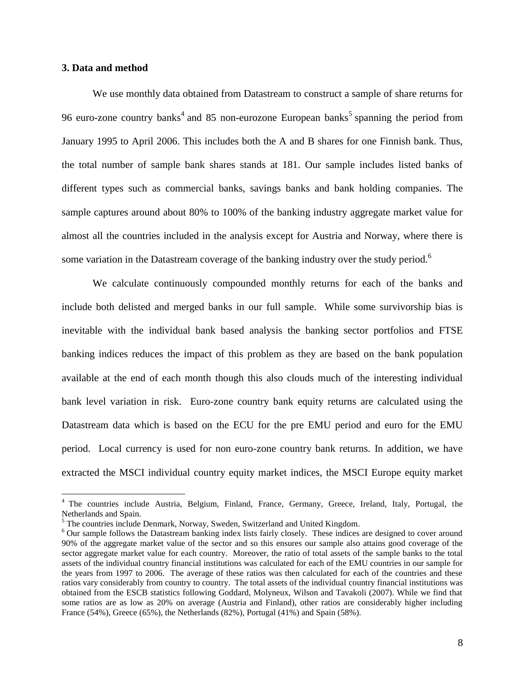## **3. Data and method**

 $\overline{a}$ 

We use monthly data obtained from Datastream to construct a sample of share returns for 96 euro-zone country banks<sup>4</sup> and 85 non-eurozone European banks<sup>5</sup> spanning the period from January 1995 to April 2006. This includes both the A and B shares for one Finnish bank. Thus, the total number of sample bank shares stands at 181. Our sample includes listed banks of different types such as commercial banks, savings banks and bank holding companies. The sample captures around about 80% to 100% of the banking industry aggregate market value for almost all the countries included in the analysis except for Austria and Norway, where there is some variation in the Datastream coverage of the banking industry over the study period.<sup>6</sup>

We calculate continuously compounded monthly returns for each of the banks and include both delisted and merged banks in our full sample. While some survivorship bias is inevitable with the individual bank based analysis the banking sector portfolios and FTSE banking indices reduces the impact of this problem as they are based on the bank population available at the end of each month though this also clouds much of the interesting individual bank level variation in risk. Euro-zone country bank equity returns are calculated using the Datastream data which is based on the ECU for the pre EMU period and euro for the EMU period. Local currency is used for non euro-zone country bank returns. In addition, we have extracted the MSCI individual country equity market indices, the MSCI Europe equity market

<sup>4</sup> The countries include Austria, Belgium, Finland, France, Germany, Greece, Ireland, Italy, Portugal, the Netherlands and Spain.

<sup>&</sup>lt;sup>5</sup> The countries include Denmark, Norway, Sweden, Switzerland and United Kingdom.

<sup>&</sup>lt;sup>6</sup> Our sample follows the Datastream banking index lists fairly closely. These indices are designed to cover around 90% of the aggregate market value of the sector and so this ensures our sample also attains good coverage of the sector aggregate market value for each country. Moreover, the ratio of total assets of the sample banks to the total assets of the individual country financial institutions was calculated for each of the EMU countries in our sample for the years from 1997 to 2006. The average of these ratios was then calculated for each of the countries and these ratios vary considerably from country to country. The total assets of the individual country financial institutions was obtained from the ESCB statistics following Goddard, Molyneux, Wilson and Tavakoli (2007). While we find that some ratios are as low as 20% on average (Austria and Finland), other ratios are considerably higher including France (54%), Greece (65%), the Netherlands (82%), Portugal (41%) and Spain (58%).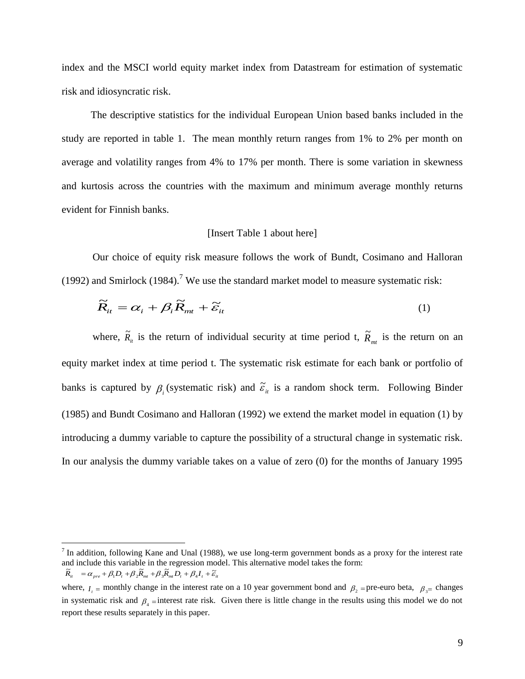index and the MSCI world equity market index from Datastream for estimation of systematic risk and idiosyncratic risk.

The descriptive statistics for the individual European Union based banks included in the study are reported in table 1. The mean monthly return ranges from 1% to 2% per month on average and volatility ranges from 4% to 17% per month. There is some variation in skewness and kurtosis across the countries with the maximum and minimum average monthly returns evident for Finnish banks.

#### [Insert Table 1 about here]

Our choice of equity risk measure follows the work of Bundt, Cosimano and Halloran (1992) and Smirlock  $(1984)$ .<sup>7</sup> We use the standard market model to measure systematic risk:

$$
\widetilde{R}_{it} = \alpha_i + \beta_i \widetilde{R}_{mt} + \widetilde{\varepsilon}_{it}
$$
\n(1)

where,  $\tilde{R}_i$  is the return of individual security at time period t,  $\tilde{R}_{m}$  is the return on an equity market index at time period t. The systematic risk estimate for each bank or portfolio of banks is captured by  $\beta_i$  (systematic risk) and  $\tilde{\varepsilon}_i$  is a random shock term. Following Binder (1985) and Bundt Cosimano and Halloran (1992) we extend the market model in equation (1) by introducing a dummy variable to capture the possibility of a structural change in systematic risk. In our analysis the dummy variable takes on a value of zero (0) for the months of January 1995

 $\overline{a}$ 

<sup>&</sup>lt;sup>7</sup> In addition, following Kane and Unal (1988), we use long-term government bonds as a proxy for the interest rate and include this variable in the regression model. This alternative model takes the form:

 $\widetilde{R}_{it}$  =  $\alpha_{pre} + \beta_1 D_t + \beta_2 \widetilde{R}_{mt} + \beta_3 \widetilde{R}_{mt} D_t + \beta_4 I_t + \widetilde{\varepsilon}_{it}$ 

where,  $I_t$  = monthly change in the interest rate on a 10 year government bond and  $\beta_2$  = pre-euro beta,  $\beta_3$ = changes in systematic risk and  $\beta_4$  = interest rate risk. Given there is little change in the results using this model we do not report these results separately in this paper.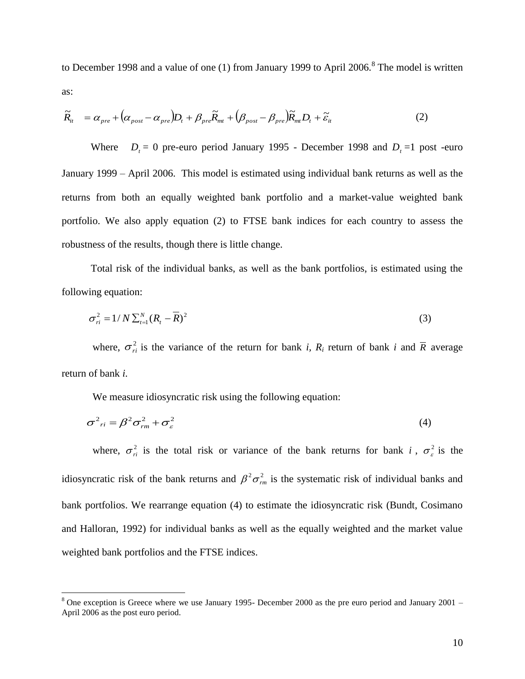to December 1998 and a value of one (1) from January 1999 to April  $2006$ .<sup>8</sup> The model is written as:

$$
\widetilde{R}_{it} = \alpha_{pre} + (\alpha_{post} - \alpha_{pre})D_t + \beta_{pre}\widetilde{R}_{mt} + (\beta_{post} - \beta_{pre})\widetilde{R}_{mt}D_t + \widetilde{\varepsilon}_{it}
$$
\n(2)

Where  $D_t = 0$  pre-euro period January 1995 - December 1998 and  $D_t = 1$  post -euro January 1999 – April 2006. This model is estimated using individual bank returns as well as the returns from both an equally weighted bank portfolio and a market-value weighted bank portfolio. We also apply equation (2) to FTSE bank indices for each country to assess the robustness of the results, though there is little change.

Total risk of the individual banks, as well as the bank portfolios, is estimated using the following equation:

$$
\sigma_{ri}^2 = 1/N \sum_{t=1}^{N} (R_t - \overline{R})^2
$$
\n(3)

where,  $\sigma_{ri}^2$  is the variance of the return for bank *i*,  $R_i$  return of bank *i* and  $\overline{R}$  average return of bank *i.*

We measure idiosyncratic risk using the following equation:

 $\overline{a}$ 

$$
\sigma^2_{\phantom{2}ri} = \beta^2 \sigma^2_{rm} + \sigma^2_{\varepsilon} \tag{4}
$$

where,  $\sigma_{ri}^2$  is the total risk or variance of the bank returns for bank i,  $\sigma_{\varepsilon}^2$  is the idiosyncratic risk of the bank returns and  $\beta^2 \sigma_{rm}^2$  is the systematic risk of individual banks and bank portfolios. We rearrange equation (4) to estimate the idiosyncratic risk (Bundt, Cosimano and Halloran, 1992) for individual banks as well as the equally weighted and the market value weighted bank portfolios and the FTSE indices.

<sup>8</sup> One exception is Greece where we use January 1995- December 2000 as the pre euro period and January 2001 – April 2006 as the post euro period.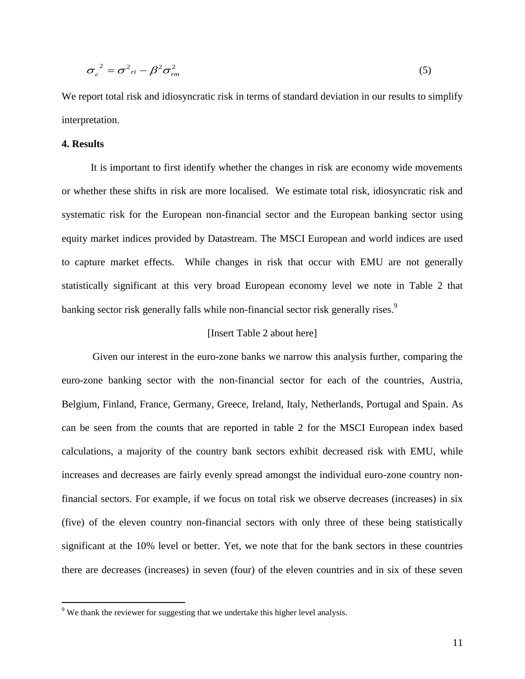$$
\sigma_{\varepsilon}^2 = \sigma^2_{ri} - \beta^2 \sigma_{rm}^2 \tag{5}
$$

We report total risk and idiosyncratic risk in terms of standard deviation in our results to simplify interpretation.

# **4. Results**

 $\overline{a}$ 

It is important to first identify whether the changes in risk are economy wide movements or whether these shifts in risk are more localised. We estimate total risk, idiosyncratic risk and systematic risk for the European non-financial sector and the European banking sector using equity market indices provided by Datastream. The MSCI European and world indices are used to capture market effects. While changes in risk that occur with EMU are not generally statistically significant at this very broad European economy level we note in Table 2 that banking sector risk generally falls while non-financial sector risk generally rises.<sup>9</sup>

#### [Insert Table 2 about here]

Given our interest in the euro-zone banks we narrow this analysis further, comparing the euro-zone banking sector with the non-financial sector for each of the countries, Austria, Belgium, Finland, France, Germany, Greece, Ireland, Italy, Netherlands, Portugal and Spain. As can be seen from the counts that are reported in table 2 for the MSCI European index based calculations, a majority of the country bank sectors exhibit decreased risk with EMU, while increases and decreases are fairly evenly spread amongst the individual euro-zone country nonfinancial sectors. For example, if we focus on total risk we observe decreases (increases) in six (five) of the eleven country non-financial sectors with only three of these being statistically significant at the 10% level or better. Yet, we note that for the bank sectors in these countries there are decreases (increases) in seven (four) of the eleven countries and in six of these seven

<sup>&</sup>lt;sup>9</sup> We thank the reviewer for suggesting that we undertake this higher level analysis.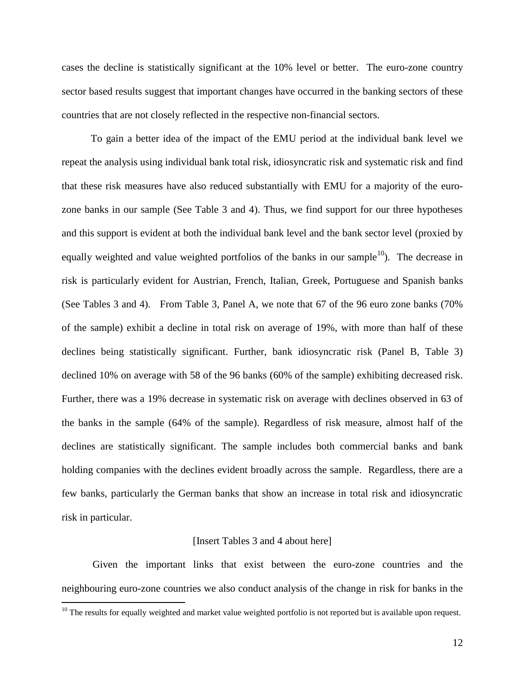cases the decline is statistically significant at the 10% level or better. The euro-zone country sector based results suggest that important changes have occurred in the banking sectors of these countries that are not closely reflected in the respective non-financial sectors.

To gain a better idea of the impact of the EMU period at the individual bank level we repeat the analysis using individual bank total risk, idiosyncratic risk and systematic risk and find that these risk measures have also reduced substantially with EMU for a majority of the eurozone banks in our sample (See Table 3 and 4). Thus, we find support for our three hypotheses and this support is evident at both the individual bank level and the bank sector level (proxied by equally weighted and value weighted portfolios of the banks in our sample<sup>10</sup>). The decrease in risk is particularly evident for Austrian, French, Italian, Greek, Portuguese and Spanish banks (See Tables 3 and 4). From Table 3, Panel A, we note that 67 of the 96 euro zone banks (70% of the sample) exhibit a decline in total risk on average of 19%, with more than half of these declines being statistically significant. Further, bank idiosyncratic risk (Panel B, Table 3) declined 10% on average with 58 of the 96 banks (60% of the sample) exhibiting decreased risk. Further, there was a 19% decrease in systematic risk on average with declines observed in 63 of the banks in the sample (64% of the sample). Regardless of risk measure, almost half of the declines are statistically significant. The sample includes both commercial banks and bank holding companies with the declines evident broadly across the sample. Regardless, there are a few banks, particularly the German banks that show an increase in total risk and idiosyncratic risk in particular.

#### [Insert Tables 3 and 4 about here]

Given the important links that exist between the euro-zone countries and the neighbouring euro-zone countries we also conduct analysis of the change in risk for banks in the

 $\overline{a}$ 

 $10$  The results for equally weighted and market value weighted portfolio is not reported but is available upon request.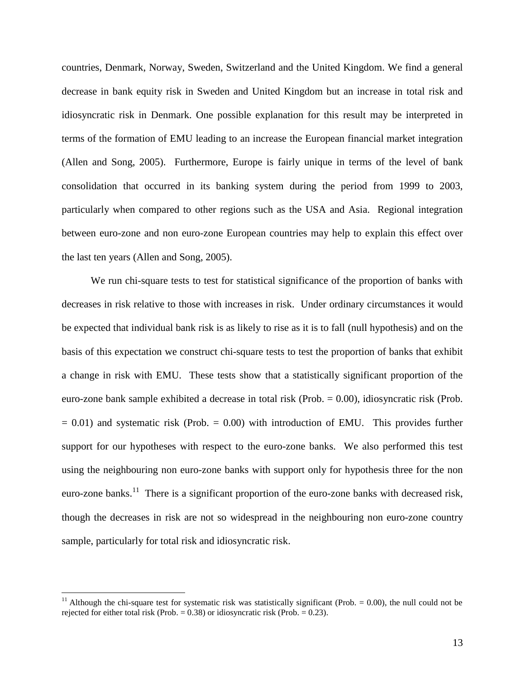countries, Denmark, Norway, Sweden, Switzerland and the United Kingdom. We find a general decrease in bank equity risk in Sweden and United Kingdom but an increase in total risk and idiosyncratic risk in Denmark. One possible explanation for this result may be interpreted in terms of the formation of EMU leading to an increase the European financial market integration (Allen and Song, 2005). Furthermore, Europe is fairly unique in terms of the level of bank consolidation that occurred in its banking system during the period from 1999 to 2003, particularly when compared to other regions such as the USA and Asia. Regional integration between euro-zone and non euro-zone European countries may help to explain this effect over the last ten years (Allen and Song, 2005).

We run chi-square tests to test for statistical significance of the proportion of banks with decreases in risk relative to those with increases in risk. Under ordinary circumstances it would be expected that individual bank risk is as likely to rise as it is to fall (null hypothesis) and on the basis of this expectation we construct chi-square tests to test the proportion of banks that exhibit a change in risk with EMU. These tests show that a statistically significant proportion of the euro-zone bank sample exhibited a decrease in total risk (Prob. = 0.00), idiosyncratic risk (Prob.  $= 0.01$ ) and systematic risk (Prob.  $= 0.00$ ) with introduction of EMU. This provides further support for our hypotheses with respect to the euro-zone banks. We also performed this test using the neighbouring non euro-zone banks with support only for hypothesis three for the non euro-zone banks.<sup>11</sup> There is a significant proportion of the euro-zone banks with decreased risk, though the decreases in risk are not so widespread in the neighbouring non euro-zone country sample, particularly for total risk and idiosyncratic risk.

 $\overline{a}$ 

<sup>&</sup>lt;sup>11</sup> Although the chi-square test for systematic risk was statistically significant (Prob.  $= 0.00$ ), the null could not be rejected for either total risk (Prob.  $= 0.38$ ) or idiosyncratic risk (Prob.  $= 0.23$ ).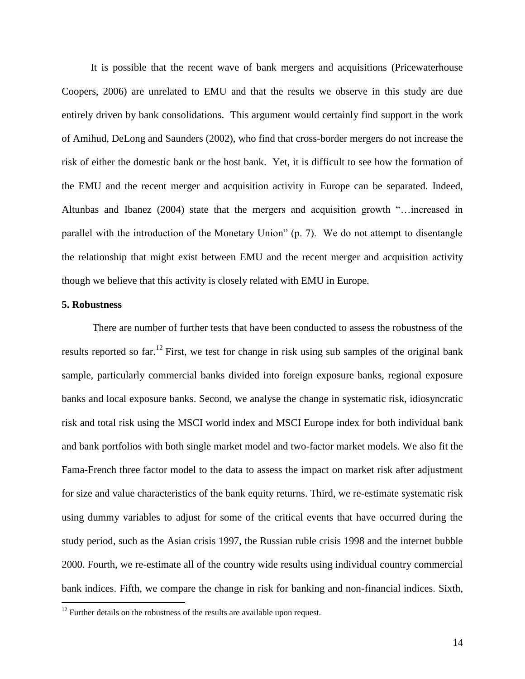It is possible that the recent wave of bank mergers and acquisitions (Pricewaterhouse Coopers, 2006) are unrelated to EMU and that the results we observe in this study are due entirely driven by bank consolidations. This argument would certainly find support in the work of Amihud, DeLong and Saunders (2002), who find that cross-border mergers do not increase the risk of either the domestic bank or the host bank. Yet, it is difficult to see how the formation of the EMU and the recent merger and acquisition activity in Europe can be separated. Indeed, Altunbas and Ibanez (2004) state that the mergers and acquisition growth "…increased in parallel with the introduction of the Monetary Union" (p. 7). We do not attempt to disentangle the relationship that might exist between EMU and the recent merger and acquisition activity though we believe that this activity is closely related with EMU in Europe.

## **5. Robustness**

 $\overline{a}$ 

There are number of further tests that have been conducted to assess the robustness of the results reported so far.<sup>12</sup> First, we test for change in risk using sub samples of the original bank sample, particularly commercial banks divided into foreign exposure banks, regional exposure banks and local exposure banks. Second, we analyse the change in systematic risk, idiosyncratic risk and total risk using the MSCI world index and MSCI Europe index for both individual bank and bank portfolios with both single market model and two-factor market models. We also fit the Fama-French three factor model to the data to assess the impact on market risk after adjustment for size and value characteristics of the bank equity returns. Third, we re-estimate systematic risk using dummy variables to adjust for some of the critical events that have occurred during the study period, such as the Asian crisis 1997, the Russian ruble crisis 1998 and the internet bubble 2000. Fourth, we re-estimate all of the country wide results using individual country commercial bank indices. Fifth, we compare the change in risk for banking and non-financial indices. Sixth,

 $12$  Further details on the robustness of the results are available upon request.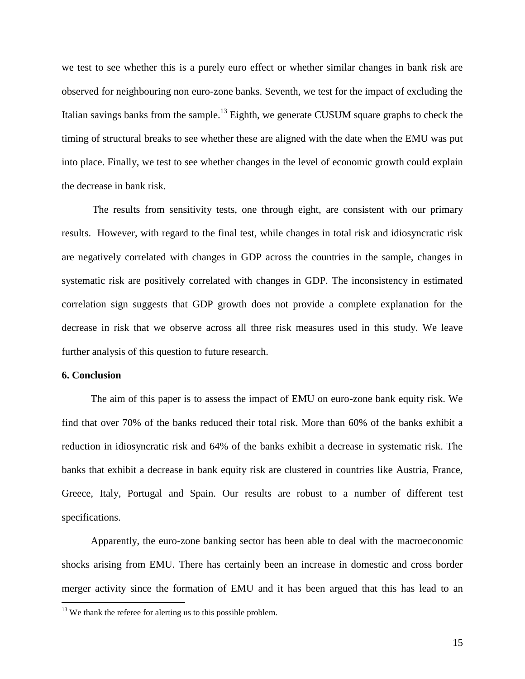we test to see whether this is a purely euro effect or whether similar changes in bank risk are observed for neighbouring non euro-zone banks. Seventh, we test for the impact of excluding the Italian savings banks from the sample.<sup>13</sup> Eighth, we generate CUSUM square graphs to check the timing of structural breaks to see whether these are aligned with the date when the EMU was put into place. Finally, we test to see whether changes in the level of economic growth could explain the decrease in bank risk.

The results from sensitivity tests, one through eight, are consistent with our primary results. However, with regard to the final test, while changes in total risk and idiosyncratic risk are negatively correlated with changes in GDP across the countries in the sample, changes in systematic risk are positively correlated with changes in GDP. The inconsistency in estimated correlation sign suggests that GDP growth does not provide a complete explanation for the decrease in risk that we observe across all three risk measures used in this study. We leave further analysis of this question to future research.

# **6. Conclusion**

 $\overline{a}$ 

The aim of this paper is to assess the impact of EMU on euro-zone bank equity risk. We find that over 70% of the banks reduced their total risk. More than 60% of the banks exhibit a reduction in idiosyncratic risk and 64% of the banks exhibit a decrease in systematic risk. The banks that exhibit a decrease in bank equity risk are clustered in countries like Austria, France, Greece, Italy, Portugal and Spain. Our results are robust to a number of different test specifications.

Apparently, the euro-zone banking sector has been able to deal with the macroeconomic shocks arising from EMU. There has certainly been an increase in domestic and cross border merger activity since the formation of EMU and it has been argued that this has lead to an

 $13$  We thank the referee for alerting us to this possible problem.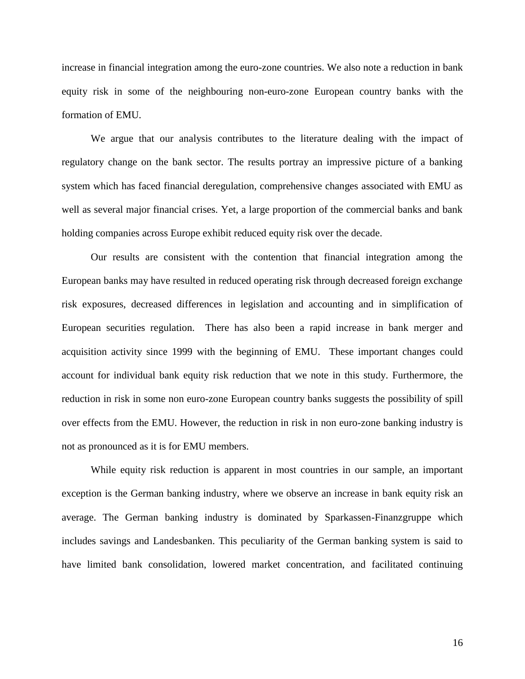increase in financial integration among the euro-zone countries. We also note a reduction in bank equity risk in some of the neighbouring non-euro-zone European country banks with the formation of EMU.

We argue that our analysis contributes to the literature dealing with the impact of regulatory change on the bank sector. The results portray an impressive picture of a banking system which has faced financial deregulation, comprehensive changes associated with EMU as well as several major financial crises. Yet, a large proportion of the commercial banks and bank holding companies across Europe exhibit reduced equity risk over the decade.

Our results are consistent with the contention that financial integration among the European banks may have resulted in reduced operating risk through decreased foreign exchange risk exposures, decreased differences in legislation and accounting and in simplification of European securities regulation. There has also been a rapid increase in bank merger and acquisition activity since 1999 with the beginning of EMU. These important changes could account for individual bank equity risk reduction that we note in this study. Furthermore, the reduction in risk in some non euro-zone European country banks suggests the possibility of spill over effects from the EMU. However, the reduction in risk in non euro-zone banking industry is not as pronounced as it is for EMU members.

While equity risk reduction is apparent in most countries in our sample, an important exception is the German banking industry, where we observe an increase in bank equity risk an average. The German banking industry is dominated by Sparkassen-Finanzgruppe which includes savings and Landesbanken. This peculiarity of the German banking system is said to have limited bank consolidation, lowered market concentration, and facilitated continuing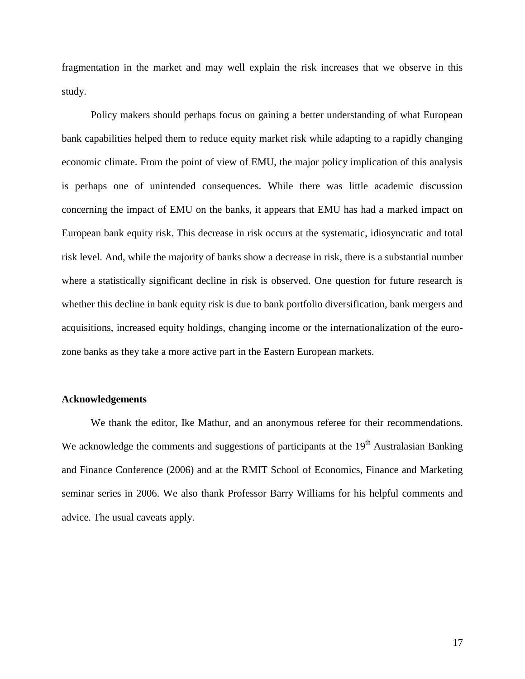fragmentation in the market and may well explain the risk increases that we observe in this study.

Policy makers should perhaps focus on gaining a better understanding of what European bank capabilities helped them to reduce equity market risk while adapting to a rapidly changing economic climate. From the point of view of EMU, the major policy implication of this analysis is perhaps one of unintended consequences. While there was little academic discussion concerning the impact of EMU on the banks, it appears that EMU has had a marked impact on European bank equity risk. This decrease in risk occurs at the systematic, idiosyncratic and total risk level. And, while the majority of banks show a decrease in risk, there is a substantial number where a statistically significant decline in risk is observed. One question for future research is whether this decline in bank equity risk is due to bank portfolio diversification, bank mergers and acquisitions, increased equity holdings, changing income or the internationalization of the eurozone banks as they take a more active part in the Eastern European markets.

#### **Acknowledgements**

We thank the editor, Ike Mathur, and an anonymous referee for their recommendations. We acknowledge the comments and suggestions of participants at the  $19<sup>th</sup>$  Australasian Banking and Finance Conference (2006) and at the RMIT School of Economics, Finance and Marketing seminar series in 2006. We also thank Professor Barry Williams for his helpful comments and advice. The usual caveats apply.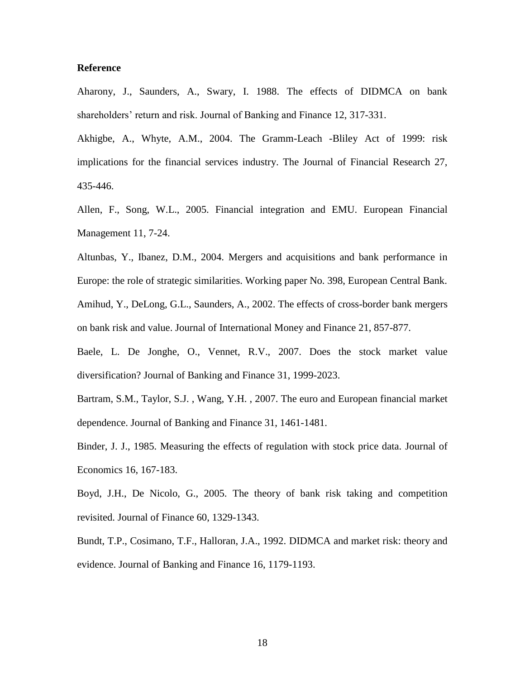## **Reference**

Aharony, J., Saunders, A., Swary, I. 1988. The effects of DIDMCA on bank shareholders' return and risk. Journal of Banking and Finance 12, 317-331.

Akhigbe, A., Whyte, A.M., 2004. The Gramm-Leach -Bliley Act of 1999: risk implications for the financial services industry. The Journal of Financial Research 27, 435-446.

Allen, F., Song, W.L., 2005. Financial integration and EMU. European Financial Management 11, 7-24.

Altunbas, Y., Ibanez, D.M., 2004. Mergers and acquisitions and bank performance in Europe: the role of strategic similarities. Working paper No. 398, European Central Bank. Amihud, Y., DeLong, G.L., Saunders, A., 2002. The effects of cross-border bank mergers on bank risk and value. Journal of International Money and Finance 21, 857-877.

Baele, L. De Jonghe, O., Vennet, R.V., 2007. Does the stock market value diversification? Journal of Banking and Finance 31, 1999-2023.

Bartram, S.M., Taylor, S.J. , Wang, Y.H. , 2007. The euro and European financial market dependence. Journal of Banking and Finance 31, 1461-1481.

Binder, J. J., 1985. Measuring the effects of regulation with stock price data. Journal of Economics 16, 167-183.

Boyd, J.H., De Nicolo, G., 2005. The theory of bank risk taking and competition revisited. Journal of Finance 60, 1329-1343.

Bundt, T.P., Cosimano, T.F., Halloran, J.A., 1992. DIDMCA and market risk: theory and evidence. Journal of Banking and Finance 16, 1179-1193.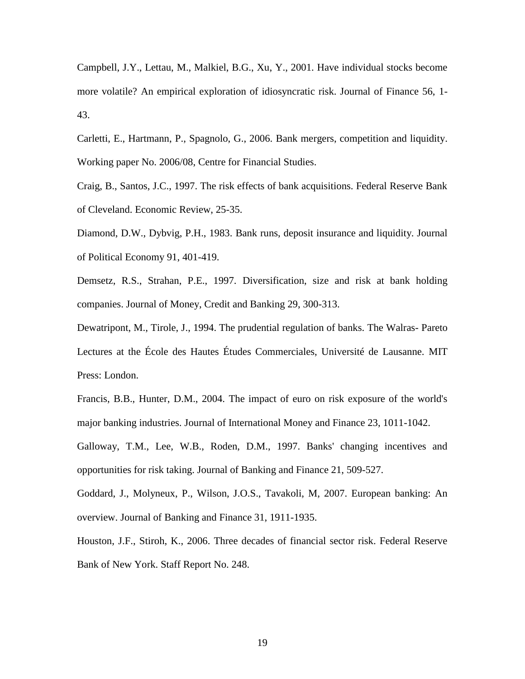Campbell, J.Y., Lettau, M., Malkiel, B.G., Xu, Y., 2001. Have individual stocks become more volatile? An empirical exploration of idiosyncratic risk. Journal of Finance 56, 1- 43.

Carletti, E., Hartmann, P., Spagnolo, G., 2006. Bank mergers, competition and liquidity. Working paper No. 2006/08, Centre for Financial Studies.

Craig, B., Santos, J.C., 1997. The risk effects of bank acquisitions. Federal Reserve Bank of Cleveland. Economic Review, 25-35.

Diamond, D.W., Dybvig, P.H., 1983. Bank runs, deposit insurance and liquidity. Journal of Political Economy 91, 401-419.

Demsetz, R.S., Strahan, P.E., 1997. Diversification, size and risk at bank holding companies. Journal of Money, Credit and Banking 29, 300-313.

Dewatripont, M., Tirole, J., 1994. The prudential regulation of banks. The Walras- Pareto Lectures at the École des Hautes Études Commerciales, Université de Lausanne. MIT Press: London.

Francis, B.B., Hunter, D.M., 2004. The impact of euro on risk exposure of the world's major banking industries. Journal of International Money and Finance 23, 1011-1042.

Galloway, T.M., Lee, W.B., Roden, D.M., 1997. Banks' changing incentives and opportunities for risk taking. Journal of Banking and Finance 21, 509-527.

Goddard, J., Molyneux, P., Wilson, J.O.S., Tavakoli, M, 2007. European banking: An overview. Journal of Banking and Finance 31, 1911-1935.

Houston, J.F., Stiroh, K., 2006. Three decades of financial sector risk. Federal Reserve Bank of New York. Staff Report No. 248.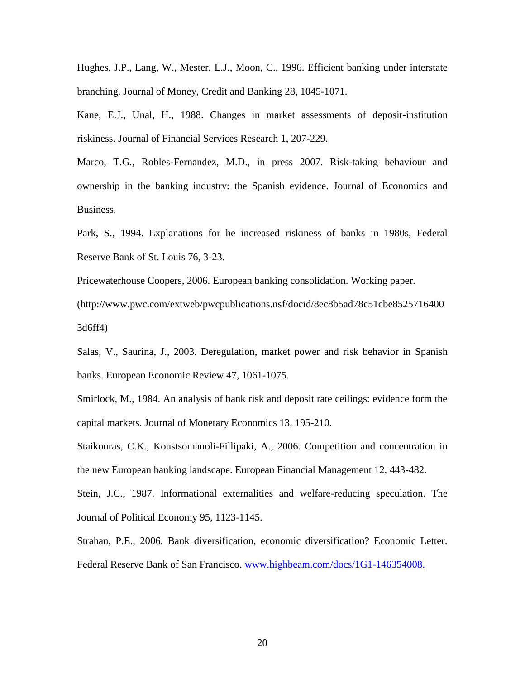Hughes, J.P., Lang, W., Mester, L.J., Moon, C., 1996. Efficient banking under interstate branching. Journal of Money, Credit and Banking 28, 1045-1071.

Kane, E.J., Unal, H., 1988. Changes in market assessments of deposit-institution riskiness. Journal of Financial Services Research 1, 207-229.

Marco, T.G., Robles-Fernandez, M.D., in press 2007. Risk-taking behaviour and ownership in the banking industry: the Spanish evidence. Journal of Economics and Business.

Park, S., 1994. Explanations for he increased riskiness of banks in 1980s, Federal Reserve Bank of St. Louis 76, 3-23.

Pricewaterhouse Coopers, 2006. European banking consolidation. Working paper.

(http://www.pwc.com/extweb/pwcpublications.nsf/docid/8ec8b5ad78c51cbe8525716400 3d6ff4)

Salas, V., Saurina, J., 2003. Deregulation, market power and risk behavior in Spanish banks. European Economic Review 47, 1061-1075.

Smirlock, M., 1984. An analysis of bank risk and deposit rate ceilings: evidence form the capital markets. Journal of Monetary Economics 13, 195-210.

Staikouras, C.K., Koustsomanoli-Fillipaki, A., 2006. Competition and concentration in the new European banking landscape. European Financial Management 12, 443-482.

Stein, J.C., 1987. Informational externalities and welfare-reducing speculation. The Journal of Political Economy 95, 1123-1145.

Strahan, P.E., 2006. Bank diversification, economic diversification? Economic Letter. Federal Reserve Bank of San Francisco. [www.highbeam.com/docs/1G1-146354008.](file:///F:/december6/www.highbeam.com/docs/1G1-146354008)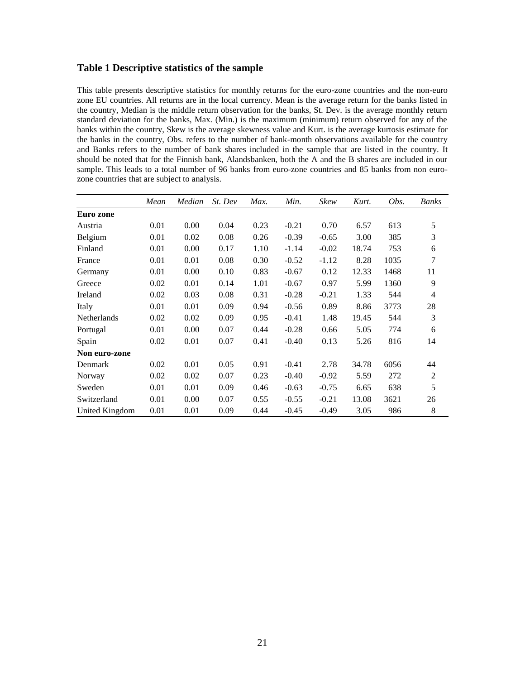## **Table 1 Descriptive statistics of the sample**

This table presents descriptive statistics for monthly returns for the euro-zone countries and the non-euro zone EU countries. All returns are in the local currency. Mean is the average return for the banks listed in the country, Median is the middle return observation for the banks, St. Dev. is the average monthly return standard deviation for the banks, Max. (Min.) is the maximum (minimum) return observed for any of the banks within the country, Skew is the average skewness value and Kurt. is the average kurtosis estimate for the banks in the country, Obs. refers to the number of bank-month observations available for the country and Banks refers to the number of bank shares included in the sample that are listed in the country. It should be noted that for the Finnish bank, Alandsbanken, both the A and the B shares are included in our sample. This leads to a total number of 96 banks from euro-zone countries and 85 banks from non eurozone countries that are subject to analysis.

|                | Mean | Median | St. Dev | Max. | Min.    | Skew    | Kurt. | Obs. | Banks          |
|----------------|------|--------|---------|------|---------|---------|-------|------|----------------|
| Euro zone      |      |        |         |      |         |         |       |      |                |
| Austria        | 0.01 | 0.00   | 0.04    | 0.23 | $-0.21$ | 0.70    | 6.57  | 613  | 5              |
| Belgium        | 0.01 | 0.02   | 0.08    | 0.26 | $-0.39$ | $-0.65$ | 3.00  | 385  | 3              |
| Finland        | 0.01 | 0.00   | 0.17    | 1.10 | $-1.14$ | $-0.02$ | 18.74 | 753  | 6              |
| France         | 0.01 | 0.01   | 0.08    | 0.30 | $-0.52$ | $-1.12$ | 8.28  | 1035 | 7              |
| Germany        | 0.01 | 0.00   | 0.10    | 0.83 | $-0.67$ | 0.12    | 12.33 | 1468 | 11             |
| Greece         | 0.02 | 0.01   | 0.14    | 1.01 | $-0.67$ | 0.97    | 5.99  | 1360 | 9              |
| Ireland        | 0.02 | 0.03   | 0.08    | 0.31 | $-0.28$ | $-0.21$ | 1.33  | 544  | $\overline{4}$ |
| Italy          | 0.01 | 0.01   | 0.09    | 0.94 | $-0.56$ | 0.89    | 8.86  | 3773 | 28             |
| Netherlands    | 0.02 | 0.02   | 0.09    | 0.95 | $-0.41$ | 1.48    | 19.45 | 544  | 3              |
| Portugal       | 0.01 | 0.00   | 0.07    | 0.44 | $-0.28$ | 0.66    | 5.05  | 774  | 6              |
| Spain          | 0.02 | 0.01   | 0.07    | 0.41 | $-0.40$ | 0.13    | 5.26  | 816  | 14             |
| Non euro-zone  |      |        |         |      |         |         |       |      |                |
| Denmark        | 0.02 | 0.01   | 0.05    | 0.91 | $-0.41$ | 2.78    | 34.78 | 6056 | 44             |
| Norway         | 0.02 | 0.02   | 0.07    | 0.23 | $-0.40$ | $-0.92$ | 5.59  | 272  | $\overline{2}$ |
| Sweden         | 0.01 | 0.01   | 0.09    | 0.46 | $-0.63$ | $-0.75$ | 6.65  | 638  | 5              |
| Switzerland    | 0.01 | 0.00   | 0.07    | 0.55 | $-0.55$ | $-0.21$ | 13.08 | 3621 | 26             |
| United Kingdom | 0.01 | 0.01   | 0.09    | 0.44 | $-0.45$ | $-0.49$ | 3.05  | 986  | 8              |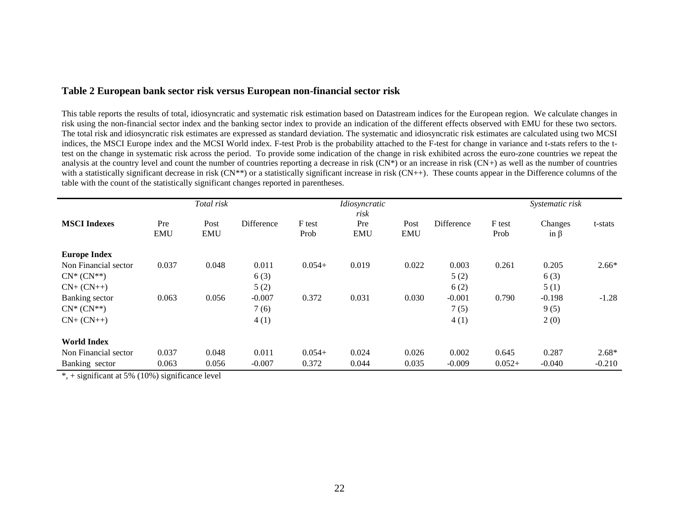# **Table 2 European bank sector risk versus European non-financial sector risk**

This table reports the results of total, idiosyncratic and systematic risk estimation based on Datastream indices for the European region. We calculate changes in risk using the non-financial sector index and the banking sector index to provide an indication of the different effects observed with EMU for these two sectors. The total risk and idiosyncratic risk estimates are expressed as standard deviation. The systematic and idiosyncratic risk estimates are calculated using two MCSI indices, the MSCI Europe index and the MCSI World index. F-test Prob is the probability attached to the F-test for change in variance and t-stats refers to the ttest on the change in systematic risk across the period. To provide some indication of the change in risk exhibited across the euro-zone countries we repeat the analysis at the country level and count the number of countries reporting a decrease in risk  $(CN<sup>*</sup>)$  or an increase in risk  $(CN<sup>+</sup>)$  as well as the number of countries with a statistically significant decrease in risk (CN<sup>\*\*</sup>) or a statistically significant increase in risk (CN++). These counts appear in the Difference columns of the table with the count of the statistically significant changes reported in parentheses.

|                      |                   | Total risk         |            |                | Idiosyncratic<br>risk |                    |            |                | Systematic risk       |          |
|----------------------|-------------------|--------------------|------------|----------------|-----------------------|--------------------|------------|----------------|-----------------------|----------|
| <b>MSCI</b> Indexes  | Pre<br><b>EMU</b> | Post<br><b>EMU</b> | Difference | F test<br>Prob | Pre<br><b>EMU</b>     | Post<br><b>EMU</b> | Difference | F test<br>Prob | Changes<br>in $\beta$ | t-stats  |
| <b>Europe Index</b>  |                   |                    |            |                |                       |                    |            |                |                       |          |
| Non Financial sector | 0.037             | 0.048              | 0.011      | $0.054+$       | 0.019                 | 0.022              | 0.003      | 0.261          | 0.205                 | $2.66*$  |
| $CN^*(CN^{**})$      |                   |                    | 6(3)       |                |                       |                    | 5(2)       |                | 6(3)                  |          |
| $CN+$ $(CN++)$       |                   |                    | 5(2)       |                |                       |                    | 6(2)       |                | 5(1)                  |          |
| Banking sector       | 0.063             | 0.056              | $-0.007$   | 0.372          | 0.031                 | 0.030              | $-0.001$   | 0.790          | $-0.198$              | $-1.28$  |
| $CN^*(CN^{**})$      |                   |                    | 7(6)       |                |                       |                    | 7(5)       |                | 9(5)                  |          |
| $CN+$ $(CN++)$       |                   |                    | 4(1)       |                |                       |                    | 4(1)       |                | 2(0)                  |          |
| <b>World Index</b>   |                   |                    |            |                |                       |                    |            |                |                       |          |
| Non Financial sector | 0.037             | 0.048              | 0.011      | $0.054+$       | 0.024                 | 0.026              | 0.002      | 0.645          | 0.287                 | $2.68*$  |
| Banking sector       | 0.063             | 0.056              | $-0.007$   | 0.372          | 0.044                 | 0.035              | $-0.009$   | $0.052+$       | $-0.040$              | $-0.210$ |

 $*$ , + significant at 5% (10%) significance level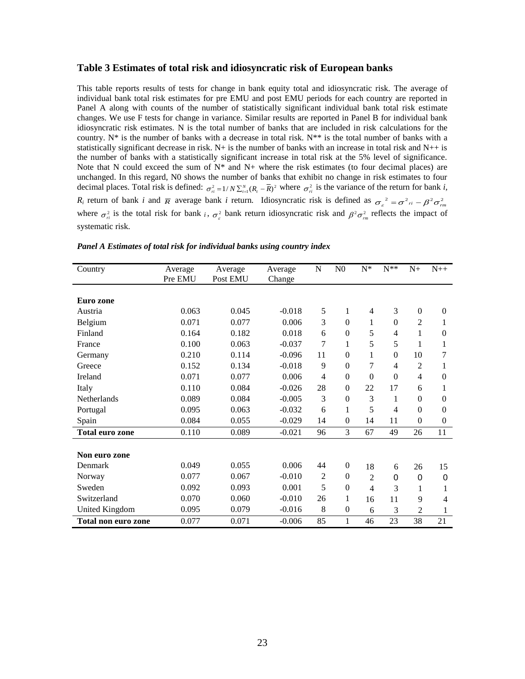#### **Table 3 Estimates of total risk and idiosyncratic risk of European banks**

This table reports results of tests for change in bank equity total and idiosyncratic risk. The average of individual bank total risk estimates for pre EMU and post EMU periods for each country are reported in Panel A along with counts of the number of statistically significant individual bank total risk estimate changes. We use F tests for change in variance. Similar results are reported in Panel B for individual bank idiosyncratic risk estimates. N is the total number of banks that are included in risk calculations for the country. N<sup>\*</sup> is the number of banks with a decrease in total risk. N<sup>\*\*</sup> is the total number of banks with a statistically significant decrease in risk.  $N+$  is the number of banks with an increase in total risk and  $N++$  is the number of banks with a statistically significant increase in total risk at the 5% level of significance. Note that N could exceed the sum of  $N^*$  and  $N^+$  where the risk estimates (to four decimal places) are unchanged. In this regard, N0 shows the number of banks that exhibit no change in risk estimates to four decimal places. Total risk is defined:  $\sigma_{ri}^2 = 1/N \sum_{i=1}^N (R_i - \overline{R})^2$  where  $\sigma_{ri}^2$  is the variance of the return for bank *i*, *R<sub>i</sub>* return of bank *i* and  $\overline{R}$  average bank *i* return. Idiosyncratic risk is defined as  $\sigma_{\varepsilon}^2 = \sigma^2_{ri} - \beta^2 \sigma_{rm}^2$ where  $\sigma_{ri}^2$  is the total risk for bank *i*,  $\sigma_{\varepsilon}^2$  bank return idiosyncratic risk and  $\beta^2 \sigma_{rm}^2$  reflects the impact of systematic risk.

| Country                | Average | Average  | Average  | N              | N <sub>0</sub>   | $N^*$          | $N^**$         | $N+$           | $N++$          |
|------------------------|---------|----------|----------|----------------|------------------|----------------|----------------|----------------|----------------|
|                        | Pre EMU | Post EMU | Change   |                |                  |                |                |                |                |
|                        |         |          |          |                |                  |                |                |                |                |
| Euro zone              |         |          |          |                |                  |                |                |                |                |
| Austria                | 0.063   | 0.045    | $-0.018$ | 5              | 1                | $\overline{4}$ | 3              | $\mathbf{0}$   | $\theta$       |
| Belgium                | 0.071   | 0.077    | 0.006    | 3              | $\theta$         | 1              | $\theta$       | $\overline{2}$ |                |
| Finland                | 0.164   | 0.182    | 0.018    | 6              | $\boldsymbol{0}$ | 5              | $\overline{4}$ | 1              | $\theta$       |
| France                 | 0.100   | 0.063    | $-0.037$ | $\overline{7}$ | 1                | 5              | 5              | 1              |                |
| Germany                | 0.210   | 0.114    | $-0.096$ | 11             | $\theta$         | 1              | $\Omega$       | 10             | 7              |
| Greece                 | 0.152   | 0.134    | $-0.018$ | 9              | $\theta$         | 7              | 4              | 2              |                |
| Ireland                | 0.071   | 0.077    | 0.006    | 4              | $\theta$         | $\theta$       | $\theta$       | $\overline{4}$ | $\overline{0}$ |
| Italy                  | 0.110   | 0.084    | $-0.026$ | 28             | $\theta$         | 22             | 17             | 6              | 1              |
| <b>Netherlands</b>     | 0.089   | 0.084    | $-0.005$ | 3              | $\boldsymbol{0}$ | 3              | 1              | $\mathbf{0}$   | $\overline{0}$ |
| Portugal               | 0.095   | 0.063    | $-0.032$ | 6              | 1                | 5              | $\overline{4}$ | $\mathbf{0}$   | $\theta$       |
| Spain                  | 0.084   | 0.055    | $-0.029$ | 14             | $\theta$         | 14             | 11             | $\overline{0}$ | $\overline{0}$ |
| <b>Total euro zone</b> | 0.110   | 0.089    | $-0.021$ | 96             | 3                | 67             | 49             | 26             | 11             |
|                        |         |          |          |                |                  |                |                |                |                |
| Non euro zone          |         |          |          |                |                  |                |                |                |                |
| Denmark                | 0.049   | 0.055    | 0.006    | 44             | $\mathbf{0}$     | 18             | 6              | 26             | 15             |
| Norway                 | 0.077   | 0.067    | $-0.010$ | $\overline{2}$ | $\mathbf{0}$     | $\overline{2}$ | $\Omega$       | 0              | 0              |
| Sweden                 | 0.092   | 0.093    | 0.001    | 5              | $\boldsymbol{0}$ | $\overline{4}$ | 3              | 1              | 1              |
| Switzerland            | 0.070   | 0.060    | $-0.010$ | 26             | 1                | 16             | 11             | 9              | 4              |
| <b>United Kingdom</b>  | 0.095   | 0.079    | $-0.016$ | 8              | $\boldsymbol{0}$ | 6              | 3              | $\overline{c}$ | 1              |
| Total non euro zone    | 0.077   | 0.071    | $-0.006$ | 85             | 1                | 46             | 23             | 38             | 21             |

|  | Panel A Estimates of total risk for individual banks using country index |  |  |  |  |  |
|--|--------------------------------------------------------------------------|--|--|--|--|--|
|  |                                                                          |  |  |  |  |  |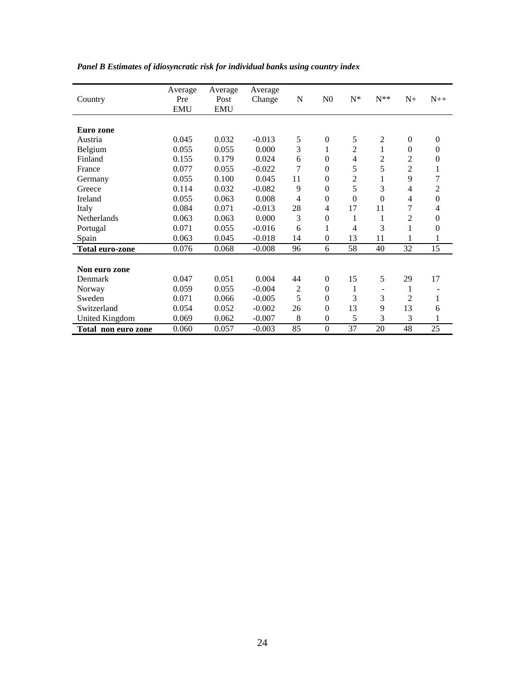| Country                | Average<br>Pre<br><b>EMU</b> | Average<br>Post<br><b>EMU</b> | Average<br>Change | N              | N <sub>0</sub>   | $N^*$          | $N^{\ast\ast}$ | $N_{+}$          | $N++$            |
|------------------------|------------------------------|-------------------------------|-------------------|----------------|------------------|----------------|----------------|------------------|------------------|
|                        |                              |                               |                   |                |                  |                |                |                  |                  |
| Euro zone              |                              |                               |                   |                |                  |                |                |                  |                  |
| Austria                | 0.045                        | 0.032                         | $-0.013$          | 5              | $\boldsymbol{0}$ | 5              | $\mathfrak{2}$ | $\boldsymbol{0}$ | $\mathbf{0}$     |
| Belgium                | 0.055                        | 0.055                         | 0.000             | 3              | 1                | 2              | $\mathbf 1$    | $\theta$         | $\theta$         |
| Finland                | 0.155                        | 0.179                         | 0.024             | 6              | $\overline{0}$   | 4              | 2              | 2                | $\boldsymbol{0}$ |
| France                 | 0.077                        | 0.055                         | $-0.022$          | 7              | $\overline{0}$   | 5              | 5              | 2                | 1                |
| Germany                | 0.055                        | 0.100                         | 0.045             | 11             | $\overline{0}$   | $\overline{2}$ | 1              | 9                | 7                |
| Greece                 | 0.114                        | 0.032                         | $-0.082$          | 9              | $\overline{0}$   | 5              | 3              | 4                | $\overline{c}$   |
| Ireland                | 0.055                        | 0.063                         | 0.008             | 4              | $\overline{0}$   | $\theta$       | $\Omega$       | 4                | $\boldsymbol{0}$ |
| Italy                  | 0.084                        | 0.071                         | $-0.013$          | 28             | 4                | 17             | 11             | 7                | 4                |
| Netherlands            | 0.063                        | 0.063                         | 0.000             | 3              | $\overline{0}$   | 1              | 1              | 2                | $\overline{0}$   |
| Portugal               | 0.071                        | 0.055                         | $-0.016$          | 6              | 1                | 4              | 3              | 1                | $\boldsymbol{0}$ |
| Spain                  | 0.063                        | 0.045                         | $-0.018$          | 14             | $\boldsymbol{0}$ | 13             | 11             | 1                | 1                |
| <b>Total euro-zone</b> | 0.076                        | 0.068                         | $-0.008$          | 96             | 6                | 58             | 40             | 32               | 15               |
|                        |                              |                               |                   |                |                  |                |                |                  |                  |
| Non euro zone          |                              |                               |                   |                |                  |                |                |                  |                  |
| Denmark                | 0.047                        | 0.051                         | 0.004             | 44             | $\overline{0}$   | 15             | 5              | 29               | 17               |
| Norway                 | 0.059                        | 0.055                         | $-0.004$          | $\overline{c}$ | $\boldsymbol{0}$ | 1              |                | 1                |                  |
| Sweden                 | 0.071                        | 0.066                         | $-0.005$          | 5              | $\overline{0}$   | 3              | 3              | 2                | $\mathbf 1$      |
| Switzerland            | 0.054                        | 0.052                         | $-0.002$          | 26             | $\overline{0}$   | 13             | 9              | 13               | 6                |
| United Kingdom         | 0.069                        | 0.062                         | $-0.007$          | 8              | $\boldsymbol{0}$ | 5              | 3              | 3                | 1                |
| Total non euro zone    | 0.060                        | 0.057                         | $-0.003$          | 85             | $\boldsymbol{0}$ | 37             | 20             | 48               | 25               |

# *Panel B Estimates of idiosyncratic risk for individual banks using country index*